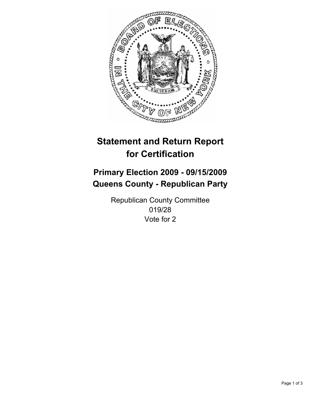

## **Primary Election 2009 - 09/15/2009 Queens County - Republican Party**

Republican County Committee 019/28 Vote for 2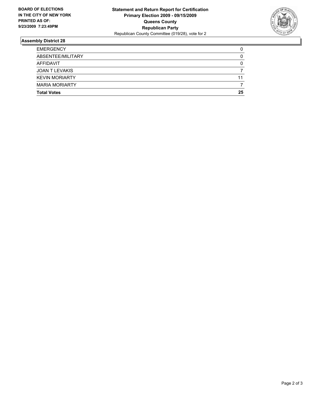

| <b>MARIA MORIARTY</b><br><b>Total Votes</b> | 25 |
|---------------------------------------------|----|
|                                             |    |
| <b>KEVIN MORIARTY</b>                       | 11 |
| JOAN T LEVAKIS                              |    |
| AFFIDAVIT                                   | 0  |
| ABSENTEE/MILITARY                           | 0  |
| <b>EMERGENCY</b>                            | 0  |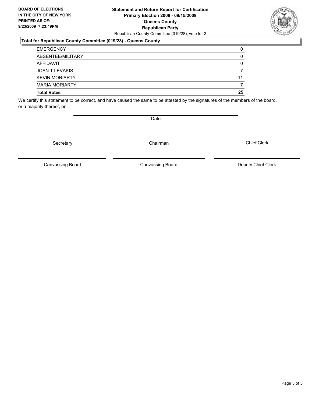#### **Statement and Return Report for Certification Primary Election 2009 - 09/15/2009 Queens County Republican Party** Republican County Committee (019/28), vote for 2

#### **Total for Republican County Committee (019/28) - Queens County**

| <b>Total Votes</b>    | 25 |
|-----------------------|----|
| <b>MARIA MORIARTY</b> |    |
| <b>KEVIN MORIARTY</b> | 11 |
| JOAN T LEVAKIS        |    |
| AFFIDAVIT             | 0  |
| ABSENTEE/MILITARY     | 0  |
| <b>EMERGENCY</b>      | 0  |

We certify this statement to be correct, and have caused the same to be attested by the signatures of the members of the board, or a majority thereof, on

Secretary **Chairman** 

Chief Clerk

Canvassing Board **Canvassing Board** Canvassing Board **Deputy Chief Clerk** 

Canvassing Board

Page 3 of 3

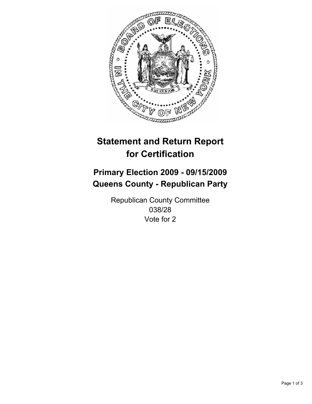

## **Primary Election 2009 - 09/15/2009 Queens County - Republican Party**

Republican County Committee 038/28 Vote for 2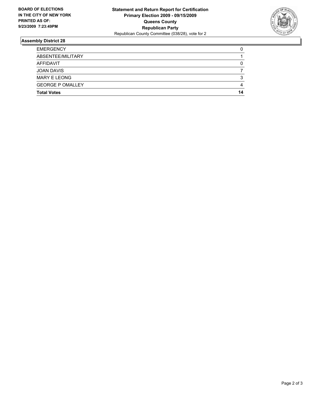

| <b>Total Votes</b>      | 14 |
|-------------------------|----|
| <b>GEORGE P OMALLEY</b> | 4  |
| <b>MARY E LEONG</b>     | 3  |
| <b>JOAN DAVIS</b>       |    |
| AFFIDAVIT               | 0  |
| ABSENTEE/MILITARY       |    |
| <b>EMERGENCY</b>        | 0  |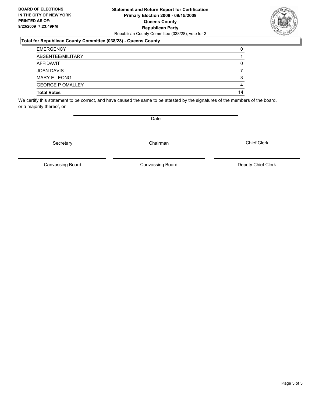#### **Statement and Return Report for Certification Primary Election 2009 - 09/15/2009 Queens County Republican Party** Republican County Committee (038/28), vote for 2

#### **Total for Republican County Committee (038/28) - Queens County**

| <b>Total Votes</b>      | 14 |
|-------------------------|----|
| <b>GEORGE P OMALLEY</b> | 4  |
| <b>MARY E LEONG</b>     | 3  |
| <b>JOAN DAVIS</b>       |    |
| AFFIDAVIT               | 0  |
| ABSENTEE/MILITARY       |    |
| <b>EMERGENCY</b>        | 0  |

We certify this statement to be correct, and have caused the same to be attested by the signatures of the members of the board, or a majority thereof, on

Secretary **Chairman** 

Canvassing Board

Canvassing Board **Canvassing Board** Canvassing Board **Deputy Chief Clerk** 

Chief Clerk

Page 3 of 3

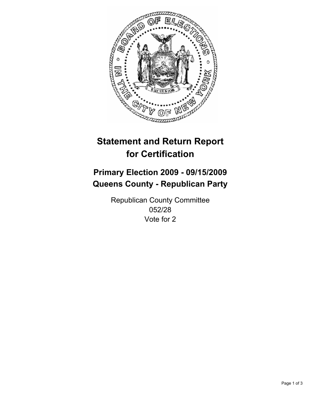

## **Primary Election 2009 - 09/15/2009 Queens County - Republican Party**

Republican County Committee 052/28 Vote for 2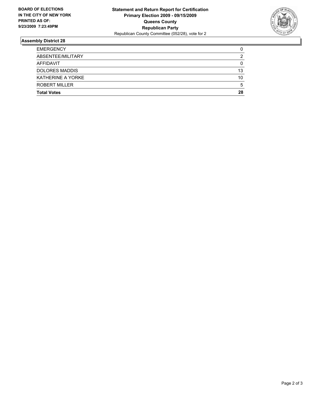

| <b>EMERGENCY</b>      | 0  |
|-----------------------|----|
| ABSENTEE/MILITARY     | 2  |
| AFFIDAVIT             | 0  |
| <b>DOLORES MADDIS</b> | 13 |
| KATHERINE A YORKE     | 10 |
| ROBERT MILLER         | 5  |
| <b>Total Votes</b>    | 28 |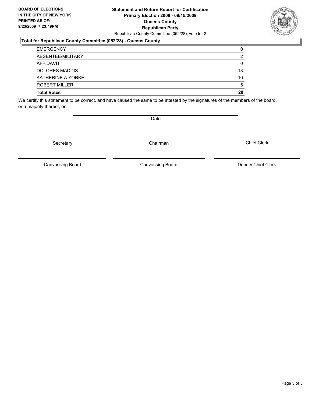#### **Statement and Return Report for Certification Primary Election 2009 - 09/15/2009 Queens County Republican Party** Republican County Committee (052/28), vote for 2

#### **Total for Republican County Committee (052/28) - Queens County**

| <b>Total Votes</b>    | 28 |
|-----------------------|----|
| <b>ROBERT MILLER</b>  | 5  |
| KATHERINE A YORKE     | 10 |
| <b>DOLORES MADDIS</b> | 13 |
| AFFIDAVIT             | 0  |
| ABSENTEE/MILITARY     | 2  |
| <b>EMERGENCY</b>      | 0  |

We certify this statement to be correct, and have caused the same to be attested by the signatures of the members of the board, or a majority thereof, on

Secretary **Chairman** 

Canvassing Board **Canvassing Board** Canvassing Board **Deputy Chief Clerk** 

Canvassing Board

Chief Clerk

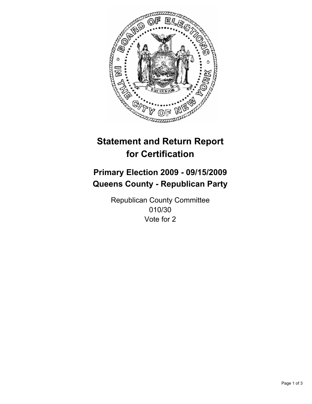

## **Primary Election 2009 - 09/15/2009 Queens County - Republican Party**

Republican County Committee 010/30 Vote for 2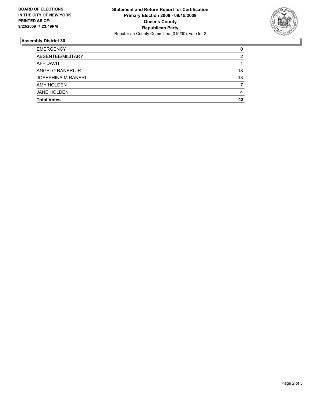

| <b>EMERGENCY</b>          | 0  |
|---------------------------|----|
| ABSENTEE/MILITARY         | 2  |
| <b>AFFIDAVIT</b>          |    |
| ANGELO RANERIJR.          | 18 |
| <b>JOSEPHINA M RANERI</b> | 13 |
| <b>AMY HOLDEN</b>         |    |
| <b>JANE HOLDEN</b>        | 4  |
| <b>Total Votes</b>        | 42 |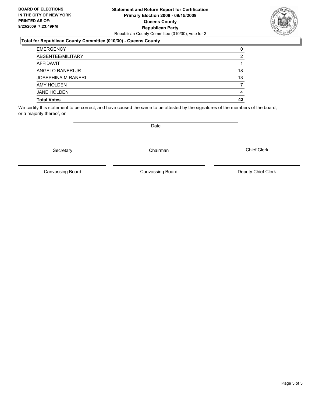#### **Statement and Return Report for Certification Primary Election 2009 - 09/15/2009 Queens County Republican Party** Republican County Committee (010/30), vote for 2

### **Total for Republican County Committee (010/30) - Queens County**

| <b>EMERGENCY</b>          | 0  |
|---------------------------|----|
| ABSENTEE/MILITARY         | 2  |
| AFFIDAVIT                 |    |
| ANGELO RANERIJR.          | 18 |
| <b>JOSEPHINA M RANERI</b> | 13 |
| <b>AMY HOLDEN</b>         |    |
| <b>JANE HOLDEN</b>        | 4  |
| <b>Total Votes</b>        | 42 |

We certify this statement to be correct, and have caused the same to be attested by the signatures of the members of the board, or a majority thereof, on

Secretary **Chairman** 

Canvassing Board

Canvassing Board Canvassing Board Canvassing Canvassing Board Deputy Chief Clerk

Chief Clerk

Page 3 of 3

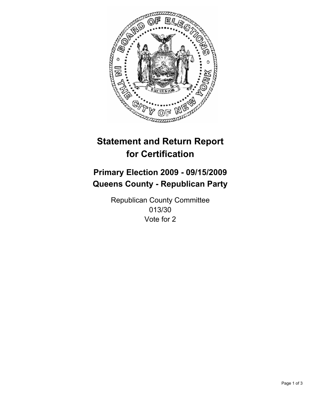

## **Primary Election 2009 - 09/15/2009 Queens County - Republican Party**

Republican County Committee 013/30 Vote for 2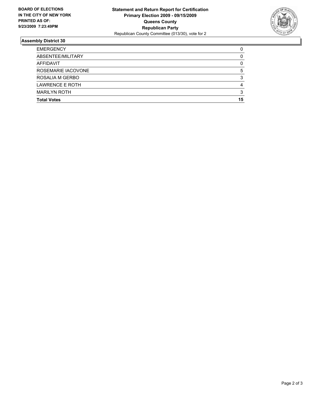

| <b>Total Votes</b>     | 15 |
|------------------------|----|
| <b>MARILYN ROTH</b>    | 3  |
| <b>LAWRENCE E ROTH</b> | 4  |
| ROSALIA M GERBO        | 3  |
| ROSEMARIE IACOVONE     | 5  |
| <b>AFFIDAVIT</b>       | 0  |
| ABSENTEE/MILITARY      | 0  |
| <b>EMERGENCY</b>       | 0  |